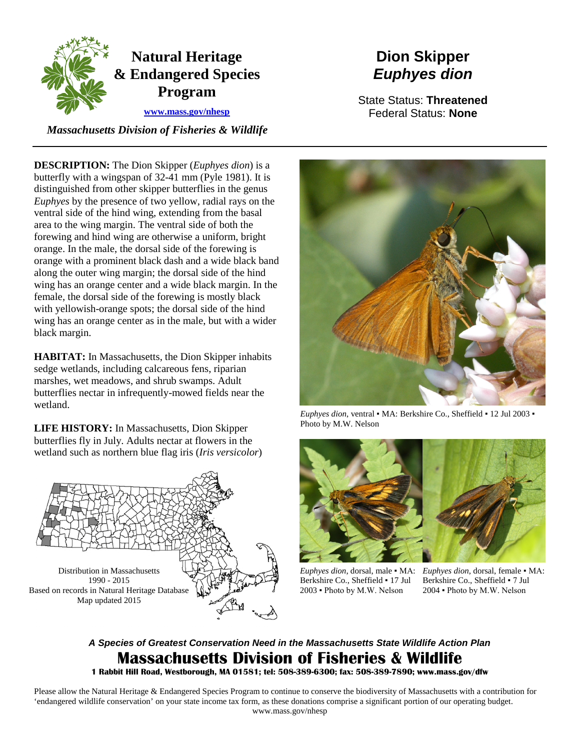

# **Dion Skipper** *Euphyes dion*

State Status: **Threatened** Federal Status: **None**

*Massachusetts Division of Fisheries & Wildlife*

**DESCRIPTION:** The Dion Skipper (*Euphyes dion*) is a butterfly with a wingspan of 32-41 mm (Pyle 1981). It is distinguished from other skipper butterflies in the genus *Euphyes* by the presence of two yellow, radial rays on the ventral side of the hind wing, extending from the basal area to the wing margin. The ventral side of both the forewing and hind wing are otherwise a uniform, bright orange. In the male, the dorsal side of the forewing is orange with a prominent black dash and a wide black band along the outer wing margin; the dorsal side of the hind wing has an orange center and a wide black margin. In the female, the dorsal side of the forewing is mostly black with yellowish-orange spots; the dorsal side of the hind wing has an orange center as in the male, but with a wider black margin.

**HABITAT:** In Massachusetts, the Dion Skipper inhabits sedge wetlands, including calcareous fens, riparian marshes, wet meadows, and shrub swamps. Adult butterflies nectar in infrequently-mowed fields near the wetland.

**LIFE HISTORY:** In Massachusetts, Dion Skipper butterflies fly in July. Adults nectar at flowers in the wetland such as northern blue flag iris (*Iris versicolor*)





*Euphyes dion*, ventral ▪ MA: Berkshire Co., Sheffield ▪ 12 Jul 2003 ▪ Photo by M.W. Nelson



Berkshire Co., Sheffield ▪ 17 Jul 2003 ▪ Photo by M.W. Nelson

*Euphyes dion*, dorsal, male ▪ MA: *Euphyes dion*, dorsal, female ▪ MA: Berkshire Co., Sheffield ▪ 7 Jul 2004 ▪ Photo by M.W. Nelson

# *A Species of Greatest Conservation Need in the Massachusetts State Wildlife Action Plan* **Massachusetts Division of Fisheries & Wildlife**

**1 Rabbit Hill Road, Westborough, MA 01581; tel: 508-389-6300; fax: 508-389-7890; www.mass.gov/dfw**

Please allow the Natural Heritage & Endangered Species Program to continue to conserve the biodiversity of Massachusetts with a contribution for 'endangered wildlife conservation' on your state income tax form, as these donations comprise a significant portion of our operating budget. www.mass.gov/nhesp